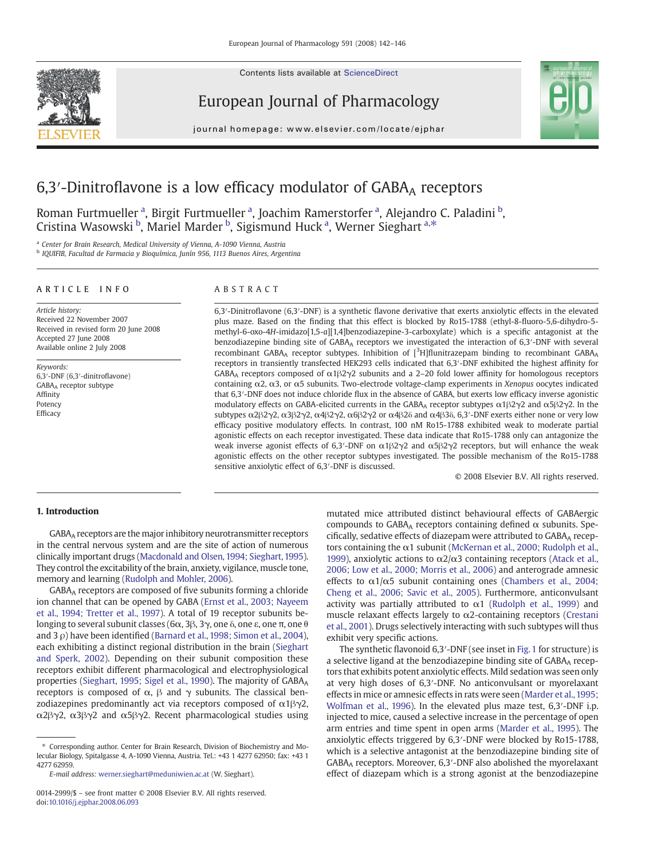Contents lists available at ScienceDirect



European Journal of Pharmacology



journal homepage: www.elsevier.com/locate/ejphar

# $6,3'$ -Dinitroflavone is a low efficacy modulator of  $GABA_A$  receptors

Roman Furtmueller<sup>a</sup>, Birgit Furtmueller<sup>a</sup>, Joachim Ramerstorfer<sup>a</sup>, Alejandro C. Paladini b, Cristina Wasowski <sup>b</sup>, Mariel Marder <sup>b</sup>, Sigismund Huck <sup>a</sup>, Werner Sieghart <sup>a,\*</sup>

<sup>a</sup> Center for Brain Research, Medical University of Vienna, A-1090 Vienna, Austria

<sup>b</sup> IQUIFIB, Facultad de Farmacia y Bioquímica, Junín 956, 1113 Buenos Aires, Argentina

#### ARTICLE INFO ABSTRACT

Article history: Received 22 November 2007 Received in revised form 20 June 2008 Accepted 27 June 2008 Available online 2 July 2008

Keywords: 6,3′-DNF (6,3′-dinitroflavone) GABAA receptor subtype Affinity Potency Efficacy

6,3′-Dinitroflavone (6,3′-DNF) is a synthetic flavone derivative that exerts anxiolytic effects in the elevated plus maze. Based on the finding that this effect is blocked by Ro15-1788 (ethyl-8-fluoro-5,6-dihydro-5 methyl-6-oxo-4H-imidazo[1,5-a][1,4]benzodiazepine-3-carboxylate) which is a specific antagonist at the benzodiazepine binding site of GABAA receptors we investigated the interaction of 6,3′-DNF with several recombinant GABA<sub>A</sub> receptor subtypes. Inhibition of  $[{}^{3}H]$ flunitrazepam binding to recombinant GABA<sub>A</sub> receptors in transiently transfected HEK293 cells indicated that 6,3′-DNF exhibited the highest affinity for GABA<sub>A</sub> receptors composed of  $\alpha$ 1 $\beta$ 2 $\gamma$ 2 subunits and a 2–20 fold lower affinity for homologous receptors containing α2, α3, or α5 subunits. Two-electrode voltage-clamp experiments in Xenopus oocytes indicated that 6,3′-DNF does not induce chloride flux in the absence of GABA, but exerts low efficacy inverse agonistic modulatory effects on GABA-elicited currents in the GABA<sub>A</sub> receptor subtypes α1β2γ2 and α5β2γ2. In the subtypes  $\alpha$ 2β2γ2,  $\alpha$ 3β2γ2,  $\alpha$ 4β2γ2,  $\alpha$ 6β2γ2 or  $\alpha$ 4β2δ and  $\alpha$ 4β3δ, 6,3′-DNF exerts either none or very low efficacy positive modulatory effects. In contrast, 100 nM Ro15-1788 exhibited weak to moderate partial agonistic effects on each receptor investigated. These data indicate that Ro15-1788 only can antagonize the weak inverse agonist effects of 6,3'-DNF on  $\alpha$ 1β2γ2 and  $\alpha$ 5β2γ2 receptors, but will enhance the weak agonistic effects on the other receptor subtypes investigated. The possible mechanism of the Ro15-1788 sensitive anxiolytic effect of 6,3′-DNF is discussed.

© 2008 Elsevier B.V. All rights reserved.

# 1. Introduction

GABAA receptors are the major inhibitory neurotransmitter receptors in the central nervous system and are the site of action of numerous clinically important drugs [\(Macdonald and Olsen, 1994; Sieghart, 1995](#page-4-0)). They control the excitability of the brain, anxiety, vigilance, muscle tone, memory and learning ([Rudolph and Mohler, 2006\)](#page-4-0).

GABAA receptors are composed of five subunits forming a chloride ion channel that can be opened by GABA ([Ernst et al., 2003; Nayeem](#page-3-0) [et al., 1994; Tretter et al., 1997\)](#page-3-0). A total of 19 receptor subunits belonging to several subunit classes (6 $\alpha$ , 3 $\beta$ , 3 $\gamma$ , one δ, one ε, one π, one θ and 3 ρ) have been identified ([Barnard et al., 1998; Simon et al., 2004](#page-3-0)), each exhibiting a distinct regional distribution in the brain ([Sieghart](#page-4-0) [and Sperk, 2002\)](#page-4-0). Depending on their subunit composition these receptors exhibit different pharmacological and electrophysiological properties ([Sieghart, 1995; Sigel et al., 1990\)](#page-4-0). The majority of GABAA receptors is composed of  $\alpha$ ,  $\beta$  and  $\gamma$  subunits. The classical benzodiazepines predominantly act via receptors composed of  $\alpha$ 1 $\beta$  $\gamma$ 2, α2βγ2, α3βγ2 and α5βγ2. Recent pharmacological studies using

mutated mice attributed distinct behavioural effects of GABAergic compounds to GABAA receptors containing defined  $\alpha$  subunits. Specifically, sedative effects of diazepam were attributed to  $GABA_A$  receptors containing the  $\alpha$ 1 subunit [\(McKernan et al., 2000; Rudolph et al.,](#page-4-0) [1999](#page-4-0)), anxiolytic actions to  $α2/α3$  containing receptors [\(Atack et al.,](#page-3-0) [2006; Low et al., 2000; Morris et al., 2006](#page-3-0)) and anterograde amnesic effects to  $\alpha$ 1/ $\alpha$ 5 subunit containing ones [\(Chambers et al., 2004;](#page-3-0) [Cheng et al., 2006; Savic et al., 2005](#page-3-0)). Furthermore, anticonvulsant activity was partially attributed to  $\alpha$ 1 ([Rudolph et al., 1999](#page-4-0)) and muscle relaxant effects largely to  $\alpha$ 2-containing receptors [\(Crestani](#page-3-0) [et al., 2001](#page-3-0)). Drugs selectively interacting with such subtypes will thus exhibit very specific actions.

The synthetic flavonoid 6,3′-DNF (see inset in [Fig. 1](#page-1-0) for structure) is a selective ligand at the benzodiazepine binding site of GABA<sub>A</sub> receptors that exhibits potent anxiolytic effects. Mild sedation was seen only at very high doses of 6,3′-DNF. No anticonvulsant or myorelaxant effects in mice or amnesic effects in rats were seen ([Marder et al., 1995;](#page-4-0) [Wolfman et al., 1996](#page-4-0)). In the elevated plus maze test, 6,3′-DNF i.p. injected to mice, caused a selective increase in the percentage of open arm entries and time spent in open arms ([Marder et al., 1995\)](#page-4-0). The anxiolytic effects triggered by 6,3′-DNF were blocked by Ro15-1788, which is a selective antagonist at the benzodiazepine binding site of GABAA receptors. Moreover, 6,3′-DNF also abolished the myorelaxant effect of diazepam which is a strong agonist at the benzodiazepine

<sup>⁎</sup> Corresponding author. Center for Brain Research, Division of Biochemistry and Molecular Biology, Spitalgasse 4, A-1090 Vienna, Austria. Tel.: +43 1 4277 62950; fax: +43 1 4277 62959.

E-mail address: [werner.sieghart@meduniwien.ac.at](mailto:werner.sieghart@meduniwien.ac.at) (W. Sieghart).

<sup>0014-2999/\$</sup> – see front matter © 2008 Elsevier B.V. All rights reserved. doi[:10.1016/j.ejphar.2008.06.093](http://dx.doi.org/10.1016/j.ejphar.2008.06.093)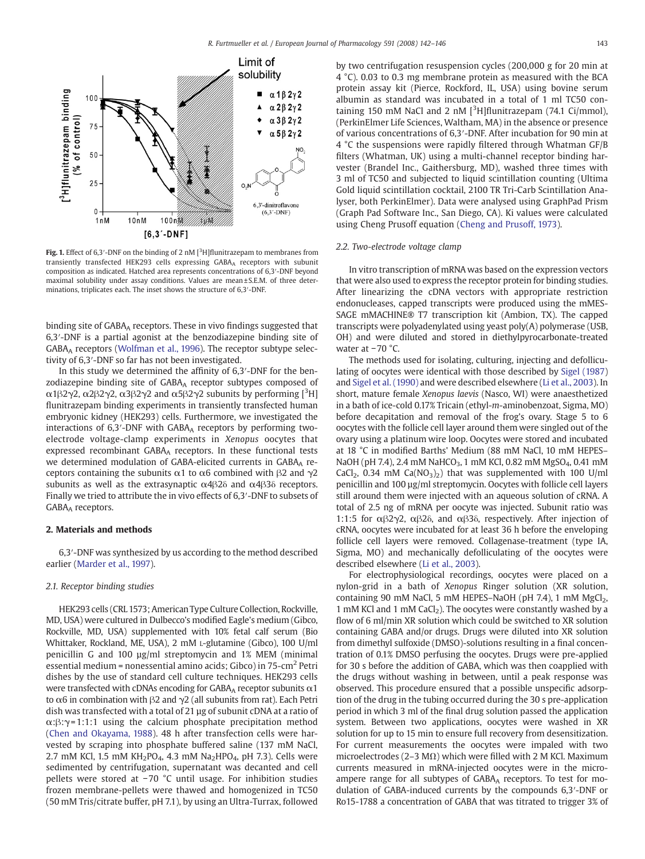<span id="page-1-0"></span>

Fig. 1. Effect of 6,3'-DNF on the binding of 2 nM  $[3H]$ flunitrazepam to membranes from transiently transfected HEK293 cells expressing GABAA receptors with subunit composition as indicated. Hatched area represents concentrations of 6,3′-DNF beyond maximal solubility under assay conditions. Values are mean ± S.E.M. of three determinations, triplicates each. The inset shows the structure of 6,3′-DNF.

binding site of GABA<sub>A</sub> receptors. These in vivo findings suggested that 6,3′-DNF is a partial agonist at the benzodiazepine binding site of GABAA receptors ([Wolfman et al., 1996\)](#page-4-0). The receptor subtype selectivity of 6,3′-DNF so far has not been investigated.

In this study we determined the affinity of 6,3′-DNF for the benzodiazepine binding site of GABAA receptor subtypes composed of  $\alpha$ 1β2γ2,  $\alpha$ 2β2γ2,  $\alpha$ 3β2γ2 and  $\alpha$ 5β2γ2 subunits by performing [<sup>3</sup>H] flunitrazepam binding experiments in transiently transfected human embryonic kidney (HEK293) cells. Furthermore, we investigated the interactions of  $6,3'$ -DNF with  $GABA_A$  receptors by performing twoelectrode voltage-clamp experiments in Xenopus oocytes that expressed recombinant GABAA receptors. In these functional tests we determined modulation of GABA-elicited currents in GABAA receptors containing the subunits  $\alpha$ 1 to  $\alpha$ 6 combined with β2 and γ2 subunits as well as the extrasynaptic  $\alpha$ 4β2δ and  $\alpha$ 4β3δ receptors. Finally we tried to attribute the in vivo effects of 6,3′-DNF to subsets of GABAA receptors.

# 2. Materials and methods

6,3′-DNF was synthesized by us according to the method described earlier [\(Marder et al., 1997\)](#page-4-0).

# 2.1. Receptor binding studies

HEK293 cells (CRL 1573; American Type Culture Collection, Rockville, MD, USA) were cultured in Dulbecco's modified Eagle's medium (Gibco, Rockville, MD, USA) supplemented with 10% fetal calf serum (Bio Whittaker, Rockland, ME, USA), 2 mM L-glutamine (Gibco), 100 U/ml penicillin G and 100 µg/ml streptomycin and 1% MEM (minimal essential medium = nonessential amino acids; Gibco) in  $75$ -cm<sup>2</sup> Petri dishes by the use of standard cell culture techniques. HEK293 cells were transfected with cDNAs encoding for  $GABA_A$  receptor subunits  $\alpha1$ to  $\alpha$ 6 in combination with  $\beta$ 2 and  $\gamma$ 2 (all subunits from rat). Each Petri dish was transfected with a total of 21 µg of subunit cDNA at a ratio of  $\alpha$ :β:γ= 1:1:1 using the calcium phosphate precipitation method ([Chen and Okayama, 1988\)](#page-3-0). 48 h after transfection cells were harvested by scraping into phosphate buffered saline (137 mM NaCl, 2.7 mM KCl, 1.5 mM KH<sub>2</sub>PO<sub>4</sub>, 4.3 mM Na<sub>2</sub>HPO<sub>4</sub>, pH 7.3). Cells were sedimented by centrifugation, supernatant was decanted and cell pellets were stored at −70 °C until usage. For inhibition studies frozen membrane-pellets were thawed and homogenized in TC50 (50 mM Tris/citrate buffer, pH 7.1), by using an Ultra-Turrax, followed

by two centrifugation resuspension cycles (200,000 g for 20 min at 4 °C). 0.03 to 0.3 mg membrane protein as measured with the BCA protein assay kit (Pierce, Rockford, IL, USA) using bovine serum albumin as standard was incubated in a total of 1 ml TC50 containing 150 mM NaCl and 2 nM  $[3H]$ flunitrazepam (74.1 Ci/mmol), (PerkinElmer Life Sciences, Waltham, MA) in the absence or presence of various concentrations of 6,3′-DNF. After incubation for 90 min at 4 °C the suspensions were rapidly filtered through Whatman GF/B filters (Whatman, UK) using a multi-channel receptor binding harvester (Brandel Inc., Gaithersburg, MD), washed three times with 3 ml of TC50 and subjected to liquid scintillation counting (Ultima Gold liquid scintillation cocktail, 2100 TR Tri-Carb Scintillation Analyser, both PerkinElmer). Data were analysed using GraphPad Prism (Graph Pad Software Inc., San Diego, CA). Ki values were calculated using Cheng Prusoff equation ([Cheng and Prusoff, 1973](#page-3-0)).

### 2.2. Two-electrode voltage clamp

In vitro transcription of mRNA was based on the expression vectors that were also used to express the receptor protein for binding studies. After linearizing the cDNA vectors with appropriate restriction endonucleases, capped transcripts were produced using the mMES-SAGE mMACHINE® T7 transcription kit (Ambion, TX). The capped transcripts were polyadenylated using yeast poly(A) polymerase (USB, OH) and were diluted and stored in diethylpyrocarbonate-treated water at −70 °C.

The methods used for isolating, culturing, injecting and defolliculating of oocytes were identical with those described by [Sigel \(1987\)](#page-4-0) and [Sigel et al. \(1990\)](#page-4-0) and were described elsewhere [\(Li et al., 2003\)](#page-4-0). In short, mature female Xenopus laevis (Nasco, WI) were anaesthetized in a bath of ice-cold 0.17% Tricain (ethyl-m-aminobenzoat, Sigma, MO) before decapitation and removal of the frog's ovary. Stage 5 to 6 oocytes with the follicle cell layer around them were singled out of the ovary using a platinum wire loop. Oocytes were stored and incubated at 18 °C in modified Barths' Medium (88 mM NaCl, 10 mM HEPES– NaOH (pH 7.4), 2.4 mM NaHCO<sub>3</sub>, 1 mM KCl, 0.82 mM MgSO<sub>4</sub>, 0.41 mM CaCl<sub>2</sub>, 0.34 mM Ca( $NO<sub>3</sub>$ )<sub>2</sub>) that was supplemented with 100 U/ml penicillin and 100 µg/ml streptomycin. Oocytes with follicle cell layers still around them were injected with an aqueous solution of cRNA. A total of 2.5 ng of mRNA per oocyte was injected. Subunit ratio was 1:1:5 for αβ2γ2, αβ2δ, and αβ3δ, respectively. After injection of cRNA, oocytes were incubated for at least 36 h before the enveloping follicle cell layers were removed. Collagenase-treatment (type IA, Sigma, MO) and mechanically defolliculating of the oocytes were described elsewhere [\(Li et al., 2003](#page-4-0)).

For electrophysiological recordings, oocytes were placed on a nylon-grid in a bath of Xenopus Ringer solution (XR solution, containing 90 mM NaCl, 5 mM HEPES-NaOH (pH 7.4), 1 mM  $MgCl<sub>2</sub>$ , 1 mM KCl and 1 mM  $CaCl<sub>2</sub>$ ). The oocytes were constantly washed by a flow of 6 ml/min XR solution which could be switched to XR solution containing GABA and/or drugs. Drugs were diluted into XR solution from dimethyl sulfoxide (DMSO)-solutions resulting in a final concentration of 0.1% DMSO perfusing the oocytes. Drugs were pre-applied for 30 s before the addition of GABA, which was then coapplied with the drugs without washing in between, until a peak response was observed. This procedure ensured that a possible unspecific adsorption of the drug in the tubing occurred during the 30 s pre-application period in which 3 ml of the final drug solution passed the application system. Between two applications, oocytes were washed in XR solution for up to 15 min to ensure full recovery from desensitization. For current measurements the oocytes were impaled with two microelectrodes (2–3 M $\Omega$ ) which were filled with 2 M KCl. Maximum currents measured in mRNA-injected oocytes were in the microampere range for all subtypes of GABAA receptors. To test for modulation of GABA-induced currents by the compounds 6,3′-DNF or Ro15-1788 a concentration of GABA that was titrated to trigger 3% of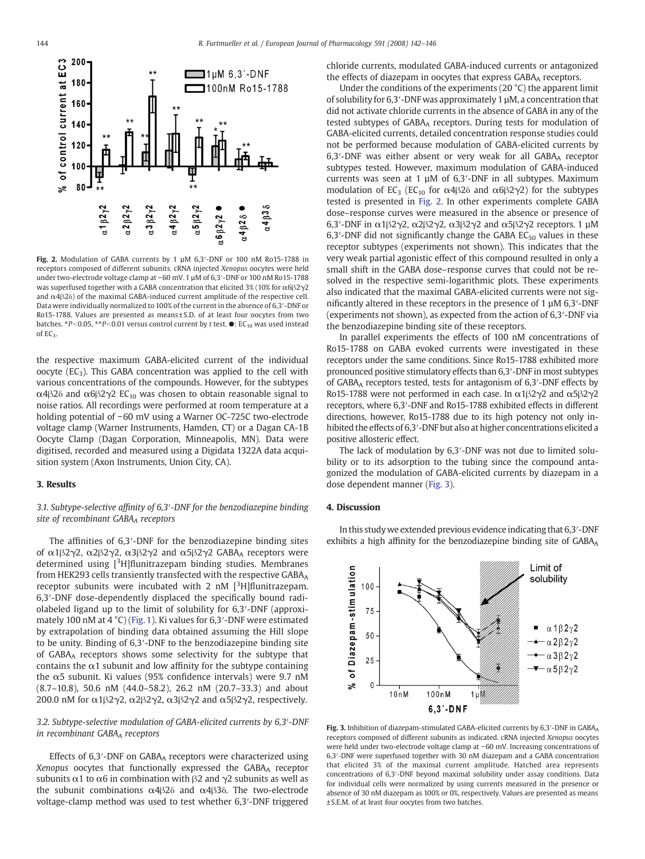<span id="page-2-0"></span>

Fig. 2. Modulation of GABA currents by 1 µM 6,3′-DNF or 100 nM Ro15-1788 in receptors composed of different subunits. cRNA injected Xenopus oocytes were held under two-electrode voltage clamp at −60 mV. 1 µM of 6,3′-DNF or 100 nM Ro15-1788 was superfused together with a GABA concentration that elicited 3% (10% for  $\alpha$ 6 $\beta$ 2 $\gamma$ 2 and α4β2δ) of the maximal GABA-induced current amplitude of the respective cell. Data were individually normalized to 100% of the current in the absence of 6,3′-DNF or Ro15-1788. Values are presented as means ± S.D. of at least four oocytes from two batches.  $*P<0.05$ ,  $*P<0.01$  versus control current by t test.  $\bullet$ : EC<sub>10</sub> was used instead of  $FC<sub>2</sub>$ 

the respective maximum GABA-elicited current of the individual oocyte ( $EC_3$ ). This GABA concentration was applied to the cell with various concentrations of the compounds. However, for the subtypes  $\alpha$ 4β2δ and  $\alpha$ 6β2γ2 EC<sub>10</sub> was chosen to obtain reasonable signal to noise ratios. All recordings were performed at room temperature at a holding potential of −60 mV using a Warner OC-725C two-electrode voltage clamp (Warner Instruments, Hamden, CT) or a Dagan CA-1B Oocyte Clamp (Dagan Corporation, Minneapolis, MN). Data were digitised, recorded and measured using a Digidata 1322A data acquisition system (Axon Instruments, Union City, CA).

# 3. Results

3.1. Subtype-selective affinity of 6,3′-DNF for the benzodiazepine binding site of recombinant GABAA receptors

The affinities of 6,3′-DNF for the benzodiazepine binding sites of  $\alpha$ 1β2γ2,  $\alpha$ 2β2γ2,  $\alpha$ 3β2γ2 and  $\alpha$ 5β2γ2 GABA<sub>A</sub> receptors were determined using [<sup>3</sup>H]flunitrazepam binding studies. Membranes from HEK293 cells transiently transfected with the respective GABA<sub>A</sub> receptor subunits were incubated with 2 nM  $[3H]$ flunitrazepam. 6,3′-DNF dose-dependently displaced the specifically bound radiolabeled ligand up to the limit of solubility for 6,3′-DNF (approximately 100 nM at 4 °C) [\(Fig. 1](#page-1-0)). Ki values for 6,3′-DNF were estimated by extrapolation of binding data obtained assuming the Hill slope to be unity. Binding of 6,3′-DNF to the benzodiazepine binding site of GABAA receptors shows some selectivity for the subtype that contains the  $\alpha$ 1 subunit and low affinity for the subtype containing the  $α5$  subunit. Ki values (95% confidence intervals) were 9.7 nM (8.7–10.8), 50.6 nM (44.0–58.2), 26.2 nM (20.7–33.3) and about 200.0 nM for α1β2γ2, α2β2γ2, α3β2γ2 and α5β2γ2, respectively.

3.2. Subtype-selective modulation of GABA-elicited currents by 6,3′-DNF in recombinant GABAA receptors

Effects of 6,3'-DNF on GABAA receptors were characterized using Xenopus oocytes that functionally expressed the GABAA receptor subunits  $\alpha$ 1 to  $\alpha$ 6 in combination with  $\beta$ 2 and  $\gamma$ 2 subunits as well as the subunit combinations α4β2δ and α4β3δ. The two-electrode voltage-clamp method was used to test whether 6,3′-DNF triggered chloride currents, modulated GABA-induced currents or antagonized the effects of diazepam in oocytes that express GABAA receptors.

Under the conditions of the experiments (20 °C) the apparent limit of solubility for 6,3′-DNF was approximately 1 µM, a concentration that did not activate chloride currents in the absence of GABA in any of the tested subtypes of GABAA receptors. During tests for modulation of GABA-elicited currents, detailed concentration response studies could not be performed because modulation of GABA-elicited currents by 6,3'-DNF was either absent or very weak for all GABAA receptor subtypes tested. However, maximum modulation of GABA-induced currents was seen at 1  $\mu$ M of 6,3′-DNF in all subtypes. Maximum modulation of EC<sub>3</sub> (EC<sub>10</sub> for α4β2δ and α6β2γ2) for the subtypes tested is presented in Fig. 2. In other experiments complete GABA dose–response curves were measured in the absence or presence of 6,3′-DNF in α1β2γ2, α2β2γ2, α3β2γ2 and α5β2γ2 receptors. 1 µM 6,3'-DNF did not significantly change the GABA  $EC_{50}$  values in these receptor subtypes (experiments not shown). This indicates that the very weak partial agonistic effect of this compound resulted in only a small shift in the GABA dose–response curves that could not be resolved in the respective semi-logarithmic plots. These experiments also indicated that the maximal GABA-elicited currents were not significantly altered in these receptors in the presence of 1 µM 6,3′-DNF (experiments not shown), as expected from the action of 6,3′-DNF via the benzodiazepine binding site of these receptors.

In parallel experiments the effects of 100 nM concentrations of Ro15-1788 on GABA evoked currents were investigated in these receptors under the same conditions. Since Ro15-1788 exhibited more pronounced positive stimulatory effects than 6,3′-DNF in most subtypes of GABA<sub>A</sub> receptors tested, tests for antagonism of 6,3'-DNF effects by Ro15-1788 were not performed in each case. In  $\alpha$ 1β2γ2 and  $\alpha$ 5β2γ2 receptors, where 6,3′-DNF and Ro15-1788 exhibited effects in different directions, however, Ro15-1788 due to its high potency not only inhibited the effects of 6,3′-DNF but also at higher concentrations elicited a positive allosteric effect.

The lack of modulation by 6,3′-DNF was not due to limited solubility or to its adsorption to the tubing since the compound antagonized the modulation of GABA-elicited currents by diazepam in a dose dependent manner (Fig. 3).

#### 4. Discussion

In this study we extended previous evidence indicating that 6,3′-DNF exhibits a high affinity for the benzodiazepine binding site of GABAA



Fig. 3. Inhibition of diazepam-stimulated GABA-elicited currents by 6,3'-DNF in GABA<sub>A</sub> receptors composed of different subunits as indicated. cRNA injected Xenopus oocytes were held under two-electrode voltage clamp at −60 mV. Increasing concentrations of 6,3′-DNF were superfused together with 30 nM diazepam and a GABA concentration that elicited 3% of the maximal current amplitude. Hatched area represents concentrations of 6,3′-DNF beyond maximal solubility under assay conditions. Data for individual cells were normalized by using currents measured in the presence or absence of 30 nM diazepam as 100% or 0%, respectively. Values are presented as means ± S.E.M. of at least four oocytes from two batches.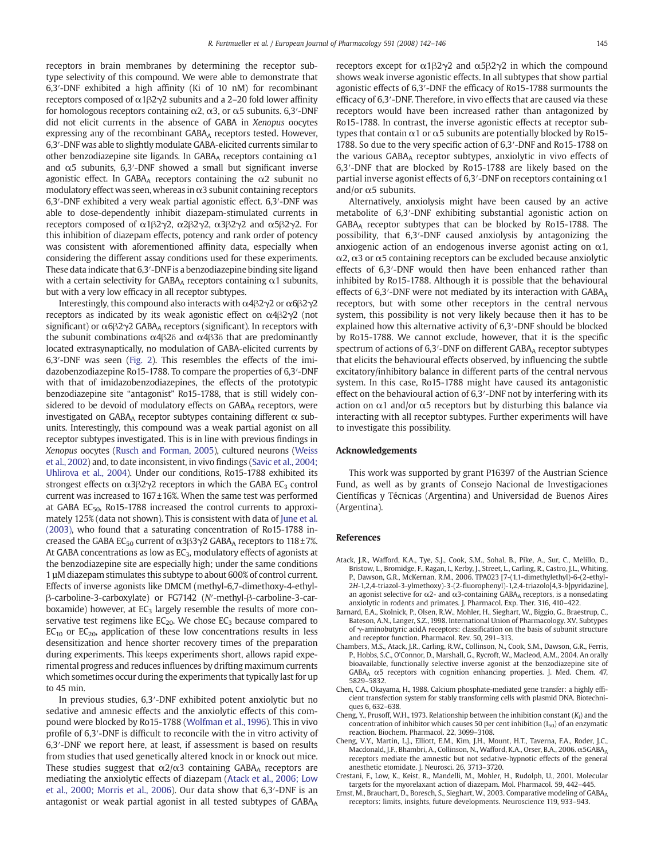<span id="page-3-0"></span>receptors in brain membranes by determining the receptor subtype selectivity of this compound. We were able to demonstrate that 6,3′-DNF exhibited a high affinity (Ki of 10 nM) for recombinant receptors composed of  $\alpha$ 1β2γ2 subunits and a 2–20 fold lower affinity for homologous receptors containing  $\alpha$ 2,  $\alpha$ 3, or  $\alpha$ 5 subunits. 6,3′-DNF did not elicit currents in the absence of GABA in Xenopus oocytes expressing any of the recombinant  $GABA_A$  receptors tested. However, 6,3′-DNF was able to slightly modulate GABA-elicited currents similar to other benzodiazepine site ligands. In GABAA receptors containing  $\alpha$ 1 and  $\alpha$ 5 subunits, 6,3′-DNF showed a small but significant inverse agonistic effect. In GABA<sub>A</sub> receptors containing the  $\alpha$ 2 subunit no modulatory effect was seen, whereas in  $\alpha$ 3 subunit containing receptors 6,3′-DNF exhibited a very weak partial agonistic effect. 6,3′-DNF was able to dose-dependently inhibit diazepam-stimulated currents in receptors composed of α1β2γ2, α2β2γ2, α3β2γ2 and α5β2γ2. For this inhibition of diazepam effects, potency and rank order of potency was consistent with aforementioned affinity data, especially when considering the different assay conditions used for these experiments. These data indicate that 6,3′-DNF is a benzodiazepine binding site ligand with a certain selectivity for GABAA receptors containing  $\alpha$ 1 subunits, but with a very low efficacy in all receptor subtypes.

Interestingly, this compound also interacts with α4β2γ2 or α6β2γ2 receptors as indicated by its weak agonistic effect on  $\alpha$ 4 $\beta$ 2 $\gamma$ 2 (not significant) or  $\alpha$ 6 $\beta$ 2 $\gamma$ 2 GABA<sub>A</sub> receptors (significant). In receptors with the subunit combinations  $\alpha$ 4β2δ and  $\alpha$ 4β3δ that are predominantly located extrasynaptically, no modulation of GABA-elicited currents by 6,3′-DNF was seen ([Fig. 2](#page-2-0)). This resembles the effects of the imidazobenzodiazepine Ro15-1788. To compare the properties of 6,3′-DNF with that of imidazobenzodiazepines, the effects of the prototypic benzodiazepine site "antagonist" Ro15-1788, that is still widely considered to be devoid of modulatory effects on GABAA receptors, were investigated on  $GABA_A$  receptor subtypes containing different  $\alpha$  subunits. Interestingly, this compound was a weak partial agonist on all receptor subtypes investigated. This is in line with previous findings in Xenopus oocytes [\(Rusch and Forman, 2005\)](#page-4-0), cultured neurons ([Weiss](#page-4-0) [et al., 2002\)](#page-4-0) and, to date inconsistent, in vivo findings [\(Savic et al., 2004;](#page-4-0) [Uhlirova et al., 2004](#page-4-0)). Under our conditions, Ro15-1788 exhibited its strongest effects on  $\alpha$ 3 $\beta$ 2 $\gamma$ 2 receptors in which the GABA EC<sub>3</sub> control current was increased to 167 ±16%. When the same test was performed at GABA EC $_{50}$ , Ro15-1788 increased the control currents to approximately 125% (data not shown). This is consistent with data of [June et al.](#page-4-0) [\(2003\)](#page-4-0), who found that a saturating concentration of Ro15-1788 increased the GABA EC<sub>50</sub> current of  $\alpha$ 3β3γ2 GABA<sub>A</sub> receptors to 118±7%. At GABA concentrations as low as  $EC<sub>3</sub>$ , modulatory effects of agonists at the benzodiazepine site are especially high; under the same conditions 1 µM diazepam stimulates this subtype to about 600% of control current. Effects of inverse agonists like DMCM (methyl-6,7-dimethoxy-4-ethylβ-carboline-3-carboxylate) or FG7142 (N′-methyl-β-carboline-3-carboxamide) however, at  $EC<sub>3</sub>$  largely resemble the results of more conservative test regimens like  $EC_{20}$ . We chose  $EC_{3}$  because compared to  $EC_{10}$  or  $EC_{20}$ , application of these low concentrations results in less desensitization and hence shorter recovery times of the preparation during experiments. This keeps experiments short, allows rapid experimental progress and reduces influences by drifting maximum currents which sometimes occur during the experiments that typically last for up to 45 min.

In previous studies, 6,3′-DNF exhibited potent anxiolytic but no sedative and amnesic effects and the anxiolytic effects of this compound were blocked by Ro15-1788 [\(Wolfman et al., 1996\)](#page-4-0). This in vivo profile of 6,3′-DNF is difficult to reconcile with the in vitro activity of 6,3′-DNF we report here, at least, if assessment is based on results from studies that used genetically altered knock in or knock out mice. These studies suggest that  $\alpha$ 2/ $\alpha$ 3 containing GABAA receptors are mediating the anxiolytic effects of diazepam (Atack et al., 2006; Low et al., 2000; Morris et al., 2006). Our data show that 6,3′-DNF is an antagonist or weak partial agonist in all tested subtypes of GABAA receptors except for α1β2γ2 and α5β2γ2 in which the compound shows weak inverse agonistic effects. In all subtypes that show partial agonistic effects of 6,3′-DNF the efficacy of Ro15-1788 surmounts the efficacy of 6,3′-DNF. Therefore, in vivo effects that are caused via these receptors would have been increased rather than antagonized by Ro15-1788. In contrast, the inverse agonistic effects at receptor subtypes that contain  $\alpha$ 1 or  $\alpha$ 5 subunits are potentially blocked by Ro15-1788. So due to the very specific action of 6,3′-DNF and Ro15-1788 on the various GABAA receptor subtypes, anxiolytic in vivo effects of 6,3′-DNF that are blocked by Ro15-1788 are likely based on the partial inverse agonist effects of 6,3 $\prime$ -DNF on receptors containing  $\alpha$ 1 and/or  $\alpha$ 5 subunits.

Alternatively, anxiolysis might have been caused by an active metabolite of 6,3′-DNF exhibiting substantial agonistic action on GABAA receptor subtypes that can be blocked by Ro15-1788. The possibility, that 6,3′-DNF caused anxiolysis by antagonizing the anxiogenic action of an endogenous inverse agonist acting on  $\alpha$ 1,  $\alpha$ 2,  $\alpha$ 3 or  $\alpha$ 5 containing receptors can be excluded because anxiolytic effects of 6,3′-DNF would then have been enhanced rather than inhibited by Ro15-1788. Although it is possible that the behavioural effects of 6,3'-DNF were not mediated by its interaction with GABAA receptors, but with some other receptors in the central nervous system, this possibility is not very likely because then it has to be explained how this alternative activity of 6,3′-DNF should be blocked by Ro15-1788. We cannot exclude, however, that it is the specific spectrum of actions of  $6,3'$ -DNF on different  $GABA_A$  receptor subtypes that elicits the behavioural effects observed, by influencing the subtle excitatory/inhibitory balance in different parts of the central nervous system. In this case, Ro15-1788 might have caused its antagonistic effect on the behavioural action of 6,3′-DNF not by interfering with its action on  $\alpha$ 1 and/or  $\alpha$ 5 receptors but by disturbing this balance via interacting with all receptor subtypes. Further experiments will have to investigate this possibility.

# Acknowledgements

This work was supported by grant P16397 of the Austrian Science Fund, as well as by grants of Consejo Nacional de Investigaciones Científicas y Técnicas (Argentina) and Universidad de Buenos Aires (Argentina).

#### References

- Atack, J.R., Wafford, K.A., Tye, S.J., Cook, S.M., Sohal, B., Pike, A., Sur, C., Melillo, D., Bristow, L., Bromidge, F., Ragan, I., Kerby, J., Street, L., Carling, R., Castro, J.L., Whiting, P., Dawson, G.R., McKernan, R.M., 2006. TPA023 [7-(1,1-dimethylethyl)-6-(2-ethyl-2H-1,2,4-triazol-3-ylmethoxy)-3-(2-fluorophenyl)-1,2,4-triazolo[4,3-b]pyridazine], an agonist selective for  $\alpha$ 2- and  $\alpha$ 3-containing GABA<sub>A</sub> receptors, is a nonsedating anxiolytic in rodents and primates. J. Pharmacol. Exp. Ther. 316, 410–422.
- Barnard, E.A., Skolnick, P., Olsen, R.W., Mohler, H., Sieghart, W., Biggio, G., Braestrup, C., Bateson, A.N., Langer, S.Z., 1998. International Union of Pharmacology. XV. Subtypes of γ-aminobutyric acidA receptors: classification on the basis of subunit structure and receptor function. Pharmacol. Rev. 50, 291–313.
- Chambers, M.S., Atack, J.R., Carling, R.W., Collinson, N., Cook, S.M., Dawson, G.R., Ferris, P., Hobbs, S.C., O'Connor, D., Marshall, G., Rycroft, W., Macleod, A.M., 2004. An orally bioavailable, functionally selective inverse agonist at the benzodiazepine site of  $GABA_A \alpha5$  receptors with cognition enhancing properties. J. Med. Chem. 47, 5829–5832.
- Chen, C.A., Okayama, H., 1988. Calcium phosphate-mediated gene transfer: a highly efficient transfection system for stably transforming cells with plasmid DNA. Biotechniques 6, 632–638.
- Cheng, Y., Prusoff, W.H., 1973. Relationship between the inhibition constant  $(K_i)$  and the concentration of inhibitor which causes 50 per cent inhibition  $(I_{50})$  of an enzymatic reaction. Biochem. Pharmacol. 22, 3099–3108.
- Cheng, V.Y., Martin, L.J., Elliott, E.M., Kim, J.H., Mount, H.T., Taverna, F.A., Roder, J.C., Macdonald, J.F., Bhambri, A., Collinson, N., Wafford, K.A., Orser, B.A., 2006. α5GABAA receptors mediate the amnestic but not sedative-hypnotic effects of the general anesthetic etomidate. J. Neurosci. 26, 3713–3720.
- Crestani, F., Low, K., Keist, R., Mandelli, M., Mohler, H., Rudolph, U., 2001. Molecular targets for the myorelaxant action of diazepam. Mol. Pharmacol. 59, 442–445.
- Ernst, M., Brauchart, D., Boresch, S., Sieghart, W., 2003. Comparative modeling of GABAA receptors: limits, insights, future developments. Neuroscience 119, 933–943.